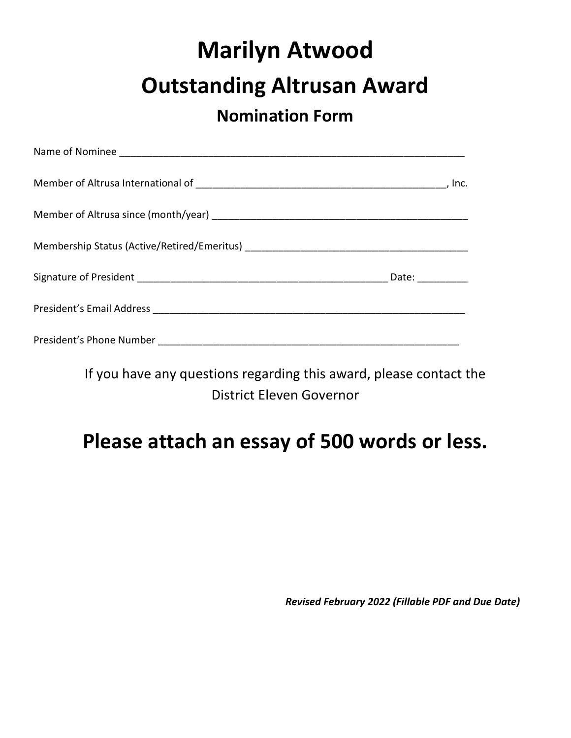# **Marilyn Atwood Outstanding Altrusan Award**

#### **Nomination Form**

| -lnc. |
|-------|
|       |
|       |
| Date: |
|       |
|       |

If you have any questions regarding this award, please contact the District Eleven Governor

## **Please attach an essay of 500 words or less.**

 *Revised February 2022 (Fillable PDF and Due Date)*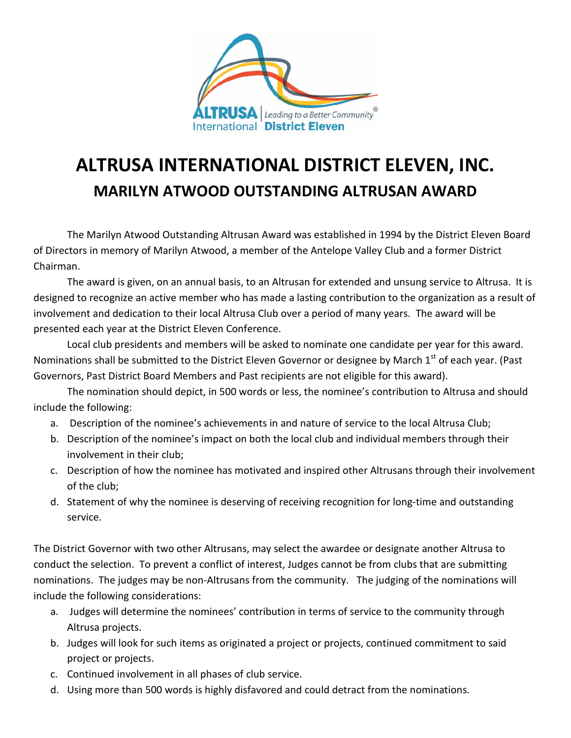

## **ALTRUSA INTERNATIONAL DISTRICT ELEVEN, INC. MARILYN ATWOOD OUTSTANDING ALTRUSAN AWARD**

The Marilyn Atwood Outstanding Altrusan Award was established in 1994 by the District Eleven Board of Directors in memory of Marilyn Atwood, a member of the Antelope Valley Club and a former District Chairman.

The award is given, on an annual basis, to an Altrusan for extended and unsung service to Altrusa. It is designed to recognize an active member who has made a lasting contribution to the organization as a result of involvement and dedication to their local Altrusa Club over a period of many years. The award will be presented each year at the District Eleven Conference.

Local club presidents and members will be asked to nominate one candidate per year for this award. Nominations shall be submitted to the District Eleven Governor or designee by March 1<sup>st</sup> of each year. (Past Governors, Past District Board Members and Past recipients are not eligible for this award).

The nomination should depict, in 500 words or less, the nominee's contribution to Altrusa and should include the following:

- a. Description of the nominee's achievements in and nature of service to the local Altrusa Club;
- b. Description of the nominee's impact on both the local club and individual members through their involvement in their club;
- c. Description of how the nominee has motivated and inspired other Altrusans through their involvement of the club;
- d. Statement of why the nominee is deserving of receiving recognition for long-time and outstanding service.

The District Governor with two other Altrusans, may select the awardee or designate another Altrusa to conduct the selection. To prevent a conflict of interest, Judges cannot be from clubs that are submitting nominations. The judges may be non-Altrusans from the community. The judging of the nominations will include the following considerations:

- a. Judges will determine the nominees' contribution in terms of service to the community through Altrusa projects.
- b. Judges will look for such items as originated a project or projects, continued commitment to said project or projects.
- c. Continued involvement in all phases of club service.
- d. Using more than 500 words is highly disfavored and could detract from the nominations.